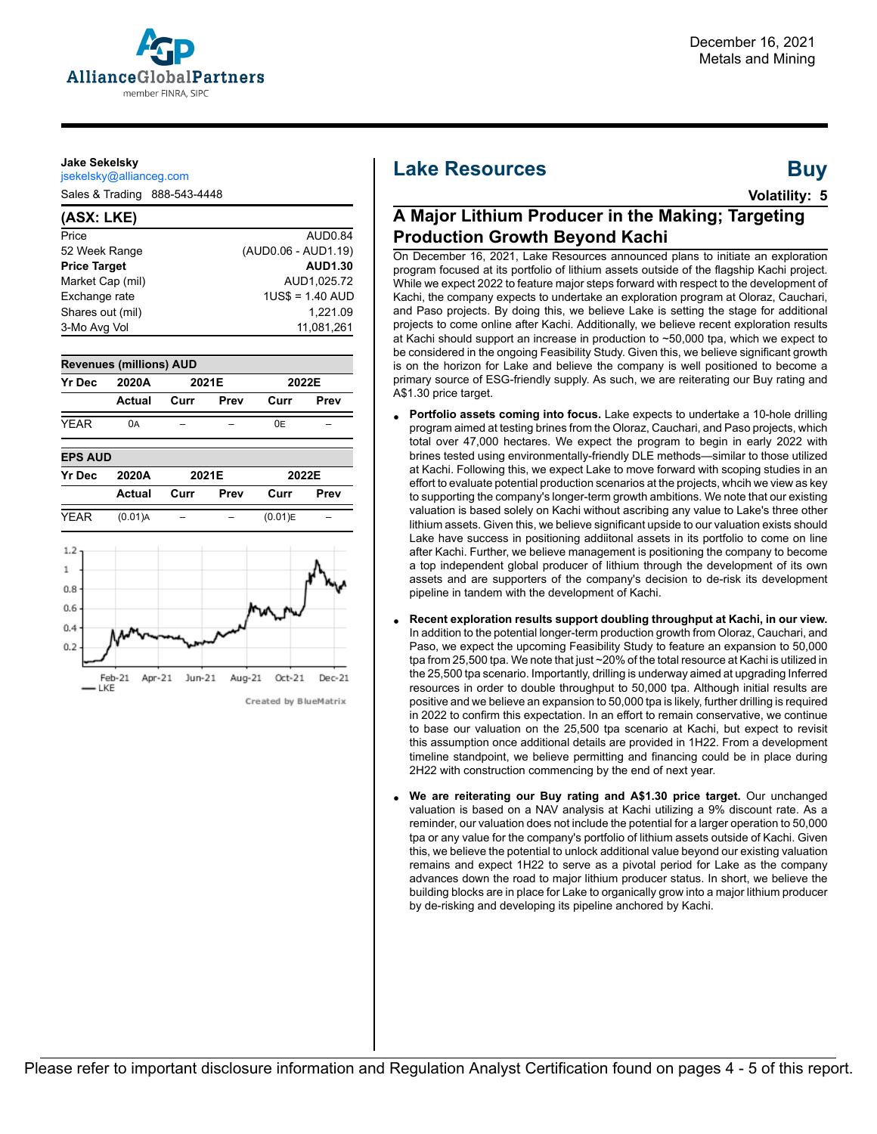

#### **Jake Sekelsky**

jsekelsky@allianceg.com

Sales & Trading 888-543-4448

#### **(ASX: LKE)** Price AUD0.84 52 Week Range (AUD0.06 - AUD1.19) **Price Target AUD1.30** Market Cap (mil) AUD1,025.72 Exchange rate 1US\$ = 1.40 AUD Shares out (mil) 1,221.09 3-Mo Avg Vol 11,081,261





#### Created by BlueMatrix

# **Lake Resources Buy**

**Volatility: 5**

## **A Major Lithium Producer in the Making; Targeting Production Growth Beyond Kachi**

On December 16, 2021, Lake Resources announced plans to initiate an exploration program focused at its portfolio of lithium assets outside of the flagship Kachi project. While we expect 2022 to feature major steps forward with respect to the development of Kachi, the company expects to undertake an exploration program at Oloraz, Cauchari, and Paso projects. By doing this, we believe Lake is setting the stage for additional projects to come online after Kachi. Additionally, we believe recent exploration results at Kachi should support an increase in production to ~50,000 tpa, which we expect to be considered in the ongoing Feasibility Study. Given this, we believe significant growth is on the horizon for Lake and believe the company is well positioned to become a primary source of ESG-friendly supply. As such, we are reiterating our Buy rating and A\$1.30 price target.

- **Portfolio assets coming into focus.** Lake expects to undertake a 10-hole drilling program aimed at testing brines from the Oloraz, Cauchari, and Paso projects, which total over 47,000 hectares. We expect the program to begin in early 2022 with brines tested using environmentally-friendly DLE methods—similar to those utilized at Kachi. Following this, we expect Lake to move forward with scoping studies in an effort to evaluate potential production scenarios at the projects, whcih we view as key to supporting the company's longer-term growth ambitions. We note that our existing valuation is based solely on Kachi without ascribing any value to Lake's three other lithium assets. Given this, we believe significant upside to our valuation exists should Lake have success in positioning addiitonal assets in its portfolio to come on line after Kachi. Further, we believe management is positioning the company to become a top independent global producer of lithium through the development of its own assets and are supporters of the company's decision to de-risk its development pipeline in tandem with the development of Kachi.
- **Recent exploration results support doubling throughput at Kachi, in our view.** In addition to the potential longer-term production growth from Oloraz, Cauchari, and Paso, we expect the upcoming Feasibility Study to feature an expansion to 50,000 tpa from 25,500 tpa. We note that just ~20% of the total resource at Kachi is utilized in the 25,500 tpa scenario. Importantly, drilling is underway aimed at upgrading Inferred resources in order to double throughput to 50,000 tpa. Although initial results are positive and we believe an expansion to 50,000 tpa is likely, further drilling is required in 2022 to confirm this expectation. In an effort to remain conservative, we continue to base our valuation on the 25,500 tpa scenario at Kachi, but expect to revisit this assumption once additional details are provided in 1H22. From a development timeline standpoint, we believe permitting and financing could be in place during 2H22 with construction commencing by the end of next year.
- **We are reiterating our Buy rating and A\$1.30 price target.** Our unchanged valuation is based on a NAV analysis at Kachi utilizing a 9% discount rate. As a reminder, our valuation does not include the potential for a larger operation to 50,000 tpa or any value for the company's portfolio of lithium assets outside of Kachi. Given this, we believe the potential to unlock additional value beyond our existing valuation remains and expect 1H22 to serve as a pivotal period for Lake as the company advances down the road to major lithium producer status. In short, we believe the building blocks are in place for Lake to organically grow into a major lithium producer by de-risking and developing its pipeline anchored by Kachi.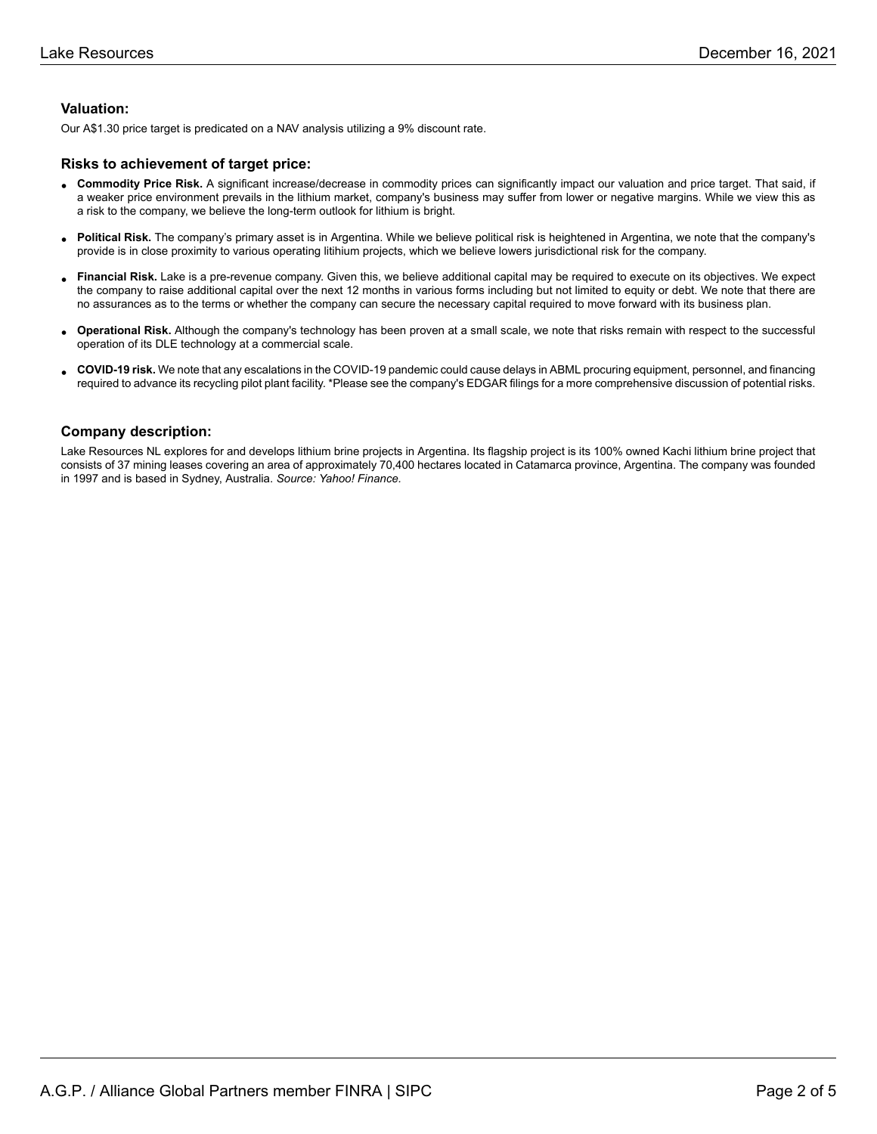### **Valuation:**

Our A\$1.30 price target is predicated on a NAV analysis utilizing a 9% discount rate.

#### **Risks to achievement of target price:**

- **Commodity Price Risk.** A significant increase/decrease in commodity prices can significantly impact our valuation and price target. That said, if<br>a weaker arise environment proveils in the lithium market, company's hygine a weaker price environment prevails in the lithium market, company's business may suffer from lower or negative margins. While we view this as a risk to the company, we believe the long-term outlook for lithium is bright.
- **Political Risk.** The company's primary asset is in Argentina. While we believe political risk is heightened in Argentina, we note that the company's provide is in close proximity to various operating litihium projects, which we believe lowers jurisdictional risk for the company.
- **Financial Risk.** Lake is a pre-revenue company. Given this, we believe additional capital may be required to execute on its objectives. We expect is a pre-revenue company. Given this, we believe additional capital may be the company to raise additional capital over the next 12 months in various forms including but not limited to equity or debt. We note that there are no assurances as to the terms or whether the company can secure the necessary capital required to move forward with its business plan.
- **Operational Risk.** Although the company's technology has been proven at a small scale, we note that risks remain with respect to the successful operation of its DLE technology at a commercial scale.
- **COVID-19 risk.** We note that any escalations in the COVID-19 pandemic could cause delays in ABML procuring equipment, personnel, and financing required to advance its recycling pilot plant facility. \*Please see the company's EDGAR filings for a more comprehensive discussion of potential risks.

#### **Company description:**

Lake Resources NL explores for and develops lithium brine projects in Argentina. Its flagship project is its 100% owned Kachi lithium brine project that consists of 37 mining leases covering an area of approximately 70,400 hectares located in Catamarca province, Argentina. The company was founded in 1997 and is based in Sydney, Australia. *Source: Yahoo! Finance.*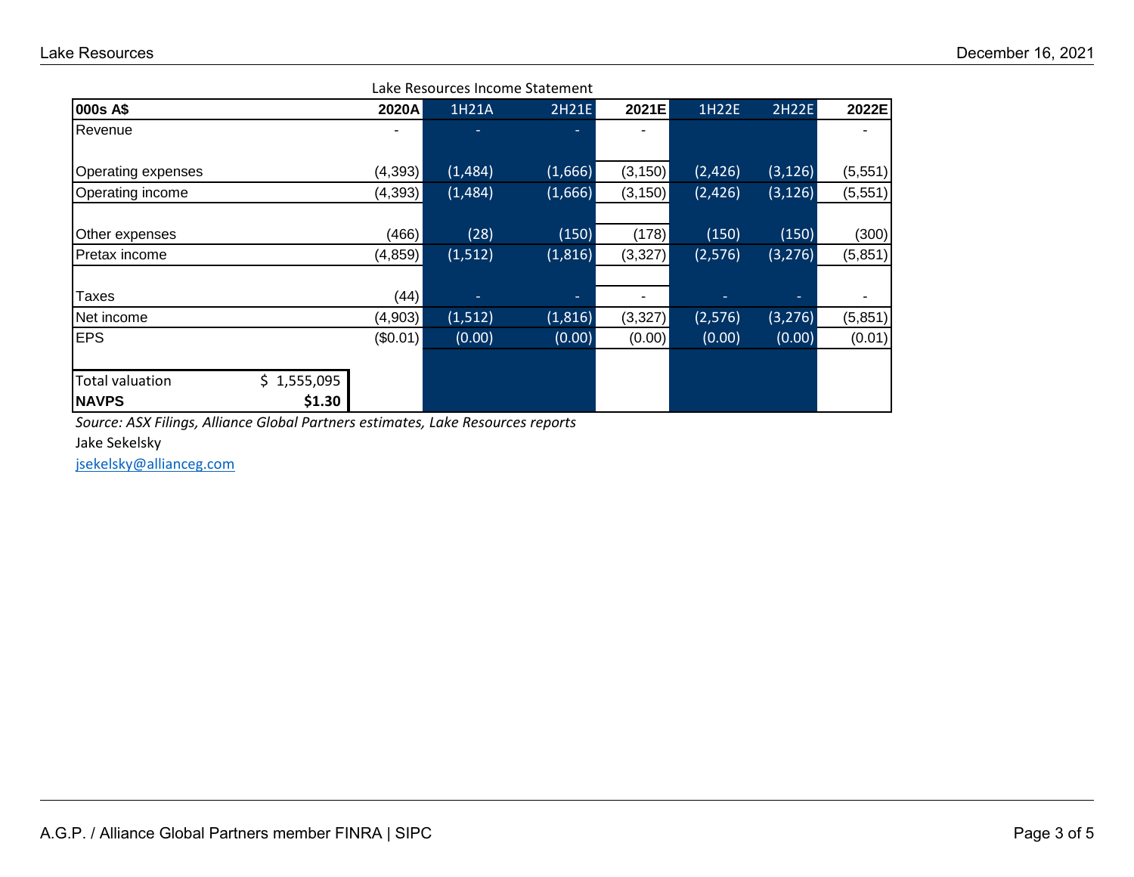| Lake Resources Income Statement |             |          |          |          |          |         |          |          |
|---------------------------------|-------------|----------|----------|----------|----------|---------|----------|----------|
| 000s A\$                        |             | 2020A    | 1H21A    | 2H21E    | 2021E    | 1H22E   | 2H22E    | 2022E    |
| Revenue                         |             |          |          |          | ۰        |         |          |          |
| <b>Operating expenses</b>       |             | (4,393)  | (1,484)  | (1,666)  | (3, 150) | (2,426) | (3, 126) | (5,551)  |
| Operating income                |             | (4, 393) | (1,484)  | (1,666)  | (3, 150) | (2,426) | (3, 126) | (5, 551) |
| Other expenses                  |             | (466)    | (28)     | (150)    | (178)    | (150)   | (150)    | (300)    |
| Pretax income                   |             | (4, 859) | (1, 512) | (1, 816) | (3,327)  | (2,576) | (3, 276) | (5, 851) |
| Taxes                           |             | (44)     | ٠        | ۰.       | ۰        |         |          |          |
| Net income                      |             | (4,903)  | (1, 512) | (1,816)  | (3,327)  | (2,576) | (3, 276) | (5,851)  |
| <b>EPS</b>                      |             | (\$0.01) | (0.00)   | (0.00)   | (0.00)   | (0.00)  | (0.00)   | (0.01)   |
|                                 |             |          |          |          |          |         |          |          |
| <b>Total valuation</b>          | \$1,555,095 |          |          |          |          |         |          |          |
| <b>NAVPS</b>                    | \$1.30      |          |          |          |          |         |          |          |

*Source: ASX Filings, Alliance Global Partners estimates, Lake Resources reports*

Jake Sekelsky

[jsekelsky@allianceg.com](mailto:jsekelsky@allianceg.com)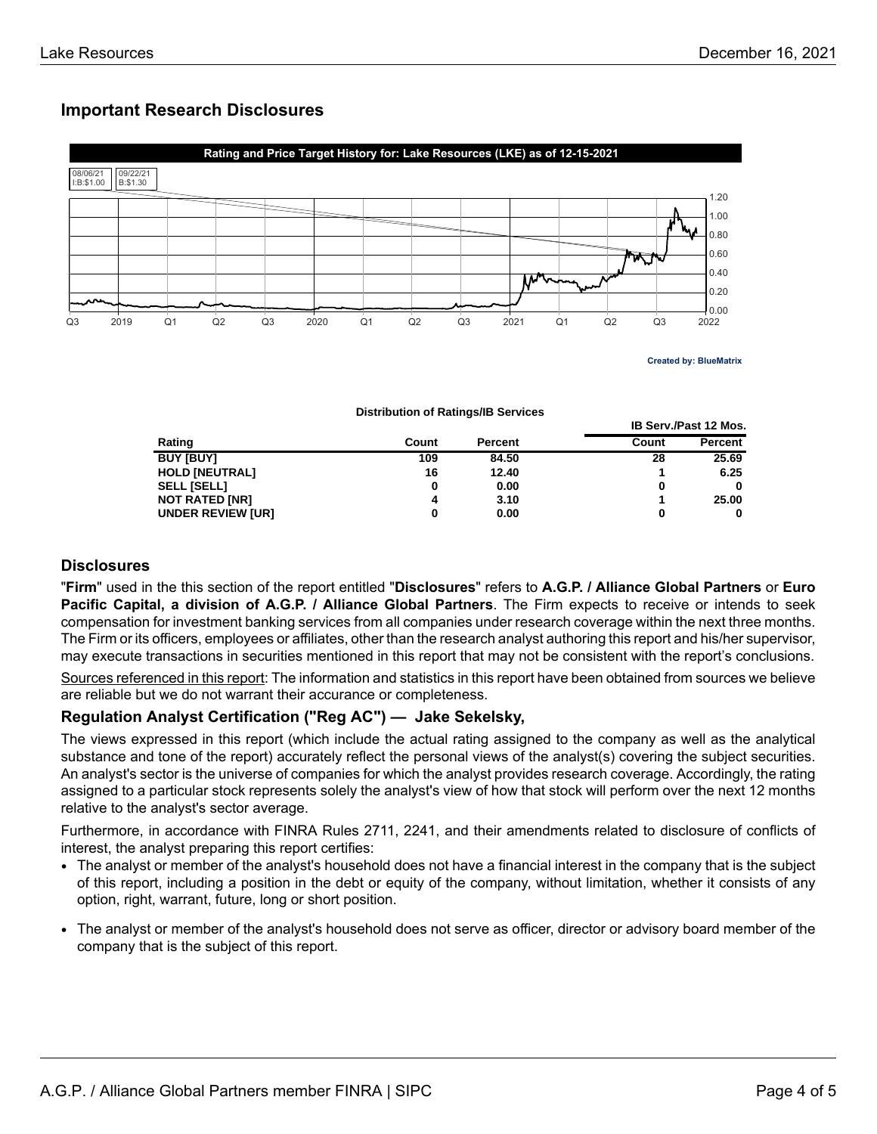## **Important Research Disclosures**



**IB Serv./Past 12 Mos.**

**Distribution of Ratings/IB Services**

| Rating                   | Count | <b>Percent</b> | Count | Percent |  |
|--------------------------|-------|----------------|-------|---------|--|
| <b>BUY [BUY]</b>         | 109   | 84.50          | 28    | 25.69   |  |
| <b>HOLD [NEUTRAL]</b>    | 16    | 12.40          |       | 6.25    |  |
| <b>SELL [SELL]</b>       |       | 0.00           | 0     | 0       |  |
| <b>NOT RATED [NR]</b>    |       | 3.10           |       | 25.00   |  |
| <b>UNDER REVIEW [UR]</b> |       | 0.00           | 0     | 0       |  |

## **Disclosures**

"**Firm**" used in the this section of the report entitled "**Disclosures**" refers to **A.G.P. / Alliance Global Partners** or **Euro Pacific Capital, a division of A.G.P. / Alliance Global Partners**. The Firm expects to receive or intends to seek compensation for investment banking services from all companies under research coverage within the next three months. The Firm or its officers, employees or affiliates, other than the research analyst authoring this report and his/her supervisor, may execute transactions in securities mentioned in this report that may not be consistent with the report's conclusions.

Sources referenced in this report: The information and statistics in this report have been obtained from sources we believe are reliable but we do not warrant their accurance or completeness.

## **Regulation Analyst Certification ("Reg AC") — Jake Sekelsky,**

The views expressed in this report (which include the actual rating assigned to the company as well as the analytical substance and tone of the report) accurately reflect the personal views of the analyst(s) covering the subject securities. An analyst's sector is the universe of companies for which the analyst provides research coverage. Accordingly, the rating assigned to a particular stock represents solely the analyst's view of how that stock will perform over the next 12 months relative to the analyst's sector average.

Furthermore, in accordance with FINRA Rules 2711, 2241, and their amendments related to disclosure of conflicts of interest, the analyst preparing this report certifies:

- The analyst or member of the analyst's household does not have a financial interest in the company that is the subject of this report, including a position in the debt or equity of the company, without limitation, whether it consists of any option, right, warrant, future, long or short position.
- The analyst or member of the analyst's household does not serve as officer, director or advisory board member of the company that is the subject of this report.